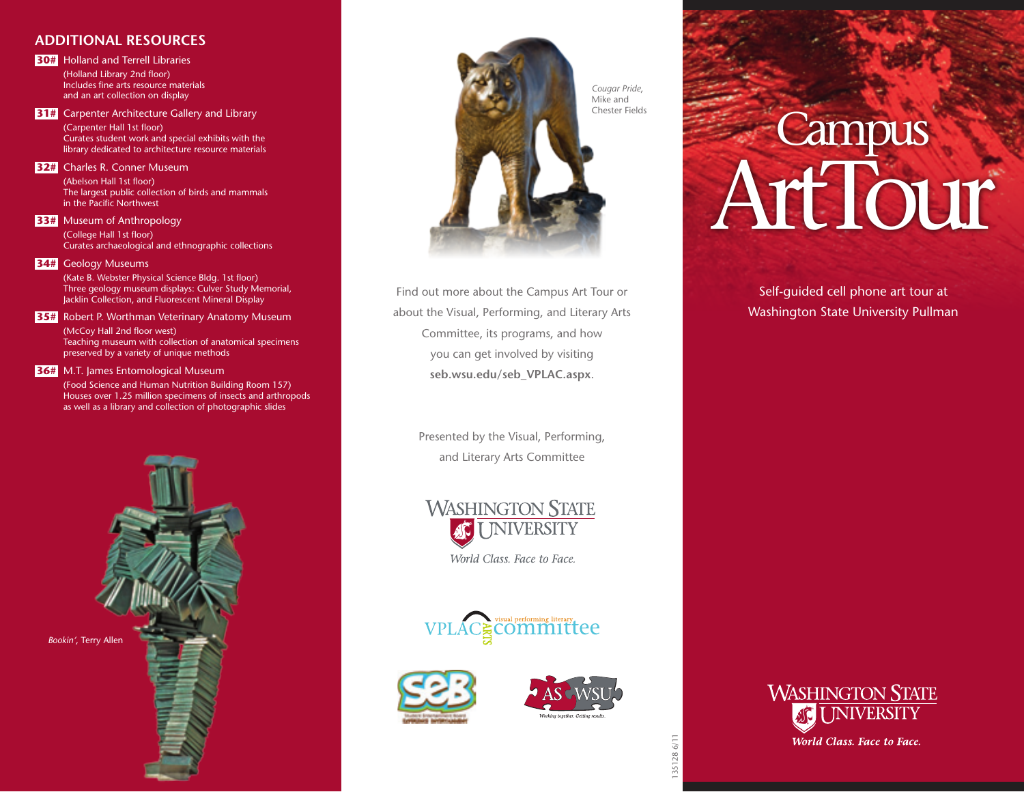## **Additional Resources**

**30#** Holland and Terrell Libraries (Holland Library 2nd floor) Includes fine arts resource materials and an art collection on display

**31#** Carpenter Architecture Gallery and Library (Carpenter Hall 1st floor) Curates student work and special exhibits with the library dedicated to architecture resource materials

## **32#** Charles R. Conner Museum

(Abelson Hall 1st floor) The largest public collection of birds and mammals in the Pacific Northwest

## **33#** Museum of Anthropology

(College Hall 1st floor) Curates archaeological and ethnographic collections

#### **34#** Geology Museums

(Kate B. Webster Physical Science Bldg. 1st floor) Three geology museum displays: Culver Study Memorial, Jacklin Collection, and Fluorescent Mineral Display

## **35#** Robert P. Worthman Veterinary Anatomy Museum

(McCoy Hall 2nd floor west) Teaching museum with collection of anatomical specimens preserved by a variety of unique methods

### **36#** M.T. James Entomological Museum

(Food Science and Human Nutrition Building Room 157) Houses over 1.25 million specimens of insects and arthropods as well as a library and collection of photographic slides





Find out more about the Campus Art Tour or about the Visual, Performing, and Literary Arts Committee, its programs, and how you can get involved by visiting **seb.wsu.edu/seb\_VPLAC.aspx**.

> Presented by the Visual, Performing, and Literary Arts Committee

**WASHINGTON STATE INIVERSITY** World Class. Face to Face.







*Cougar Pride*, Mike and Chester Fields

# **Campus** ArtTour

Self-guided cell phone art tour at Washington State University Pullman



35128 6/11 135128 6/11